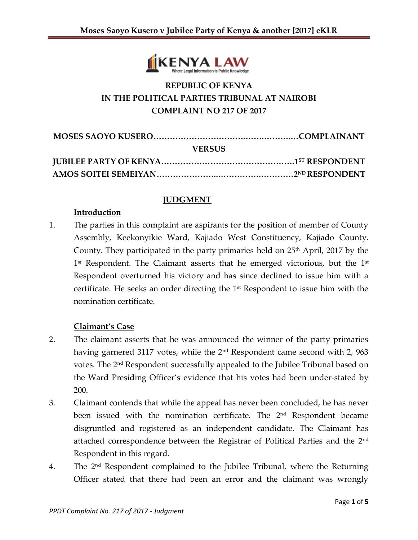

# **REPUBLIC OF KENYA IN THE POLITICAL PARTIES TRIBUNAL AT NAIROBI COMPLAINT NO 217 OF 2017**

| <b>VERSUS</b> |  |
|---------------|--|
|               |  |
|               |  |

#### **JUDGMENT**

#### **Introduction**

1. The parties in this complaint are aspirants for the position of member of County Assembly, Keekonyikie Ward, Kajiado West Constituency, Kajiado County. County. They participated in the party primaries held on  $25<sup>th</sup>$  April, 2017 by the  $1^{\text{st}}$  Respondent. The Claimant asserts that he emerged victorious, but the  $1^{\text{st}}$ Respondent overturned his victory and has since declined to issue him with a certificate. He seeks an order directing the 1st Respondent to issue him with the nomination certificate.

# **Claimant's Case**

- 2. The claimant asserts that he was announced the winner of the party primaries having garnered 3117 votes, while the 2<sup>nd</sup> Respondent came second with 2, 963 votes. The 2 nd Respondent successfully appealed to the Jubilee Tribunal based on the Ward Presiding Officer's evidence that his votes had been under-stated by 200.
- 3. Claimant contends that while the appeal has never been concluded, he has never been issued with the nomination certificate. The 2<sup>nd</sup> Respondent became disgruntled and registered as an independent candidate. The Claimant has attached correspondence between the Registrar of Political Parties and the 2nd Respondent in this regard.
- 4. The  $2<sup>nd</sup>$  Respondent complained to the Jubilee Tribunal, where the Returning Officer stated that there had been an error and the claimant was wrongly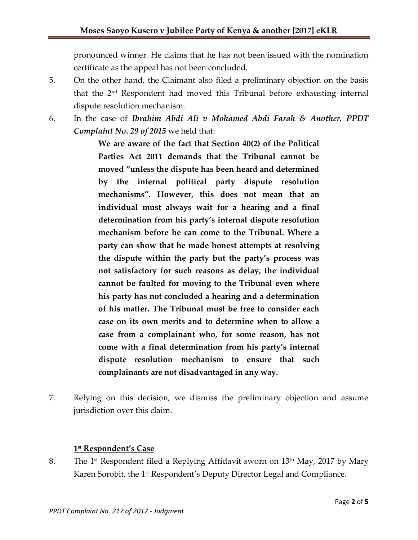pronounced winner. He claims that he has not been issued with the nomination certificate as the appeal has not been concluded.

- 5. On the other hand, the Claimant also filed a preliminary objection on the basis that the 2nd Respondent had moved this Tribunal before exhausting internal dispute resolution mechanism.
- 6. In the case of *Ibrahim Abdi Ali v Mohamed Abdi Farah & Another, PPDT Complaint No. 29 of 2015* we held that:

**We are aware of the fact that Section 40(2) of the Political Parties Act 2011 demands that the Tribunal cannot be moved "unless the dispute has been heard and determined by the internal political party dispute resolution mechanisms". However, this does not mean that an individual must always wait for a hearing and a final determination from his party's internal dispute resolution mechanism before he can come to the Tribunal. Where a party can show that he made honest attempts at resolving the dispute within the party but the party's process was not satisfactory for such reasons as delay, the individual cannot be faulted for moving to the Tribunal even where his party has not concluded a hearing and a determination of his matter. The Tribunal must be free to consider each case on its own merits and to determine when to allow a case from a complainant who, for some reason, has not come with a final determination from his party's internal dispute resolution mechanism to ensure that such complainants are not disadvantaged in any way.**

7. Relying on this decision, we dismiss the preliminary objection and assume jurisdiction over this claim.

#### **1 st Respondent's Case**

8. The 1<sup>st</sup> Respondent filed a Replying Affidavit sworn on  $13<sup>th</sup>$  May, 2017 by Mary Karen Sorobit, the 1<sup>st</sup> Respondent's Deputy Director Legal and Compliance.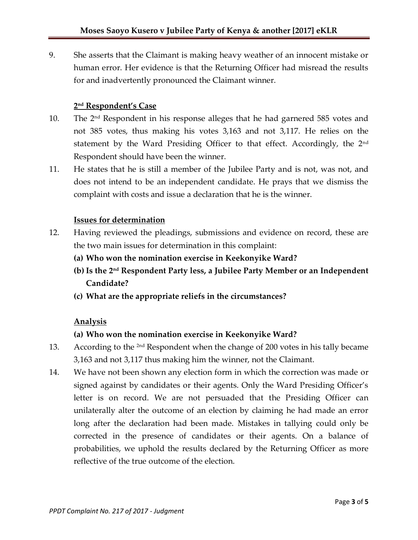9. She asserts that the Claimant is making heavy weather of an innocent mistake or human error. Her evidence is that the Returning Officer had misread the results for and inadvertently pronounced the Claimant winner.

### **2 nd Respondent's Case**

- 10. The 2nd Respondent in his response alleges that he had garnered 585 votes and not 385 votes, thus making his votes 3,163 and not 3,117. He relies on the statement by the Ward Presiding Officer to that effect. Accordingly, the 2<sup>nd</sup> Respondent should have been the winner.
- 11. He states that he is still a member of the Jubilee Party and is not, was not, and does not intend to be an independent candidate. He prays that we dismiss the complaint with costs and issue a declaration that he is the winner.

#### **Issues for determination**

- 12. Having reviewed the pleadings, submissions and evidence on record, these are the two main issues for determination in this complaint:
	- **(a) Who won the nomination exercise in Keekonyike Ward?**
	- **(b) Is the 2nd Respondent Party less, a Jubilee Party Member or an Independent Candidate?**
	- **(c) What are the appropriate reliefs in the circumstances?**

# **Analysis**

# **(a) Who won the nomination exercise in Keekonyike Ward?**

- 13. According to the <sup>2nd</sup> Respondent when the change of 200 votes in his tally became 3,163 and not 3,117 thus making him the winner, not the Claimant.
- 14. We have not been shown any election form in which the correction was made or signed against by candidates or their agents. Only the Ward Presiding Officer's letter is on record. We are not persuaded that the Presiding Officer can unilaterally alter the outcome of an election by claiming he had made an error long after the declaration had been made. Mistakes in tallying could only be corrected in the presence of candidates or their agents. On a balance of probabilities, we uphold the results declared by the Returning Officer as more reflective of the true outcome of the election.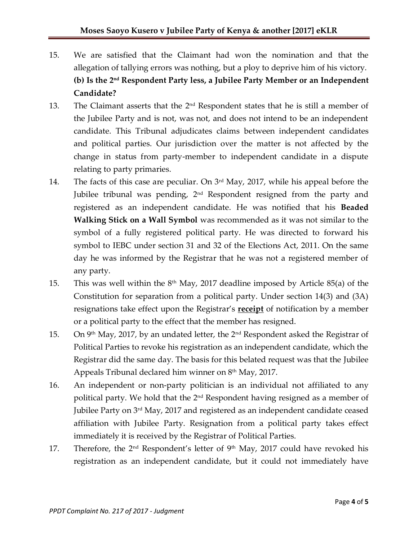- 15. We are satisfied that the Claimant had won the nomination and that the allegation of tallying errors was nothing, but a ploy to deprive him of his victory. **(b) Is the 2 nd Respondent Party less, a Jubilee Party Member or an Independent Candidate?**
- 13. The Claimant asserts that the  $2<sup>nd</sup>$  Respondent states that he is still a member of the Jubilee Party and is not, was not, and does not intend to be an independent candidate. This Tribunal adjudicates claims between independent candidates and political parties. Our jurisdiction over the matter is not affected by the change in status from party-member to independent candidate in a dispute relating to party primaries.
- 14. The facts of this case are peculiar. On 3rd May, 2017, while his appeal before the Jubilee tribunal was pending, 2<sup>nd</sup> Respondent resigned from the party and registered as an independent candidate. He was notified that his **Beaded Walking Stick on a Wall Symbol** was recommended as it was not similar to the symbol of a fully registered political party. He was directed to forward his symbol to IEBC under section 31 and 32 of the Elections Act, 2011. On the same day he was informed by the Registrar that he was not a registered member of any party.
- 15. This was well within the  $8<sup>th</sup>$  May, 2017 deadline imposed by Article 85(a) of the Constitution for separation from a political party. Under section 14(3) and (3A) resignations take effect upon the Registrar's **receipt** of notification by a member or a political party to the effect that the member has resigned.
- 15. On 9<sup>th</sup> May, 2017, by an undated letter, the 2<sup>nd</sup> Respondent asked the Registrar of Political Parties to revoke his registration as an independent candidate, which the Registrar did the same day. The basis for this belated request was that the Jubilee Appeals Tribunal declared him winner on  $8<sup>th</sup>$  May, 2017.
- 16. An independent or non-party politician is an individual not affiliated to any political party. We hold that the 2nd Respondent having resigned as a member of Jubilee Party on 3<sup>rd</sup> May, 2017 and registered as an independent candidate ceased affiliation with Jubilee Party. Resignation from a political party takes effect immediately it is received by the Registrar of Political Parties.
- 17. Therefore, the  $2<sup>nd</sup>$  Respondent's letter of  $9<sup>th</sup>$  May, 2017 could have revoked his registration as an independent candidate, but it could not immediately have